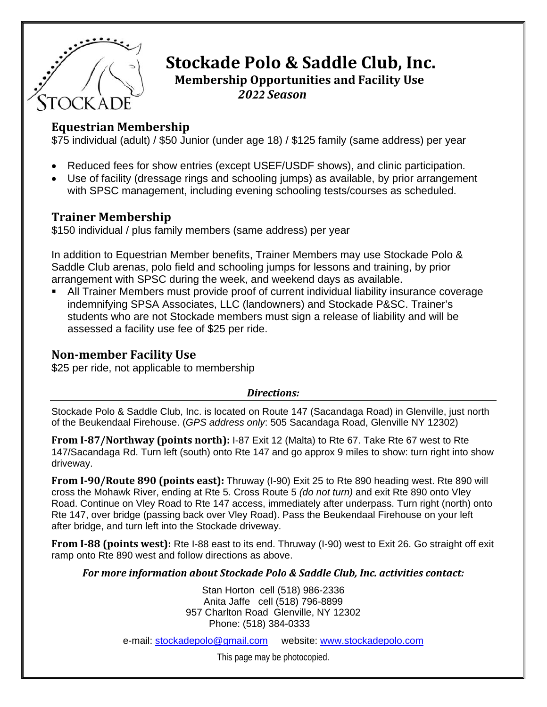

# **Stockade Polo & Saddle Club, Inc.**

**Membership Opportunities and Facility Use** *2022 Season*

#### **Equestrian Membership**

\$75 individual (adult) / \$50 Junior (under age 18) / \$125 family (same address) per year

- Reduced fees for show entries (except USEF/USDF shows), and clinic participation.
- Use of facility (dressage rings and schooling jumps) as available, by prior arrangement with SPSC management, including evening schooling tests/courses as scheduled.

### **Trainer Membership**

\$150 individual / plus family members (same address) per year

In addition to Equestrian Member benefits, Trainer Members may use Stockade Polo & Saddle Club arenas, polo field and schooling jumps for lessons and training, by prior arrangement with SPSC during the week, and weekend days as available.

 All Trainer Members must provide proof of current individual liability insurance coverage indemnifying SPSA Associates, LLC (landowners) and Stockade P&SC. Trainer's students who are not Stockade members must sign a release of liability and will be assessed a facility use fee of \$25 per ride.

#### **Nonmember Facility Use**

\$25 per ride, not applicable to membership

#### *Directions:*

Stockade Polo & Saddle Club, Inc. is located on Route 147 (Sacandaga Road) in Glenville, just north of the Beukendaal Firehouse. (*GPS address only*: 505 Sacandaga Road, Glenville NY 12302)

**From I87/Northway (points north):** I-87 Exit 12 (Malta) to Rte 67. Take Rte 67 west to Rte 147/Sacandaga Rd. Turn left (south) onto Rte 147 and go approx 9 miles to show: turn right into show driveway.

**From I90/Route 890 (points east):** Thruway (I-90) Exit 25 to Rte 890 heading west. Rte 890 will cross the Mohawk River, ending at Rte 5. Cross Route 5 *(do not turn)* and exit Rte 890 onto Vley Road. Continue on Vley Road to Rte 147 access, immediately after underpass. Turn right (north) onto Rte 147, over bridge (passing back over Vley Road). Pass the Beukendaal Firehouse on your left after bridge, and turn left into the Stockade driveway.

**From I88 (points west):** Rte I-88 east to its end. Thruway (I-90) west to Exit 26. Go straight off exit ramp onto Rte 890 west and follow directions as above.

*For more information about Stockade Polo & Saddle Club, Inc. activities contact:*

Stan Horton cell (518) 986-2336 Anita Jaffe cell (518) 796-8899 957 Charlton Road Glenville, NY 12302 Phone: (518) 384-0333

e-mail: stockadepolo@gmail.com website: www.stockadepolo.com

This page may be photocopied.